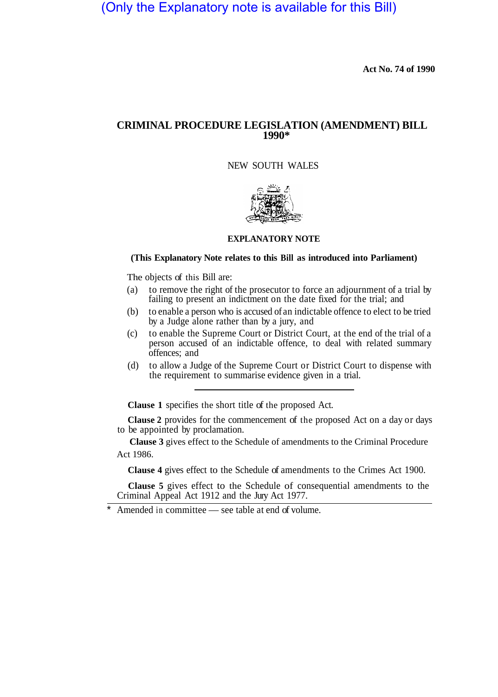# (Only the Explanatory note is available for this Bill)

**Act No. 74 of 1990** 

## **CRIMINAL PROCEDURE LEGISLATION (AMENDMENT) BILL 1990\***

NEW SOUTH WALES



## **EXPLANATORY NOTE**

## **(This Explanatory Note relates to this Bill as introduced into Parliament)**

The objects of this Bill are:

- (a) to remove the right of the prosecutor to force an adjournment of a trial by failing to present an indictment on the date fixed for the trial; and
- (b) to enable a person who is accused of an indictable offence to elect to be tried by a Judge alone rather than by a jury, and
- (c) to enable the Supreme Court or District Court, at the end of the trial of a person accused of an indictable offence, to deal with related summary offences; and
- (d) to allow a Judge of the Supreme Court or District Court to dispense with the requirement to summarise evidence given in a trial.

**Clause 1** specifies the short title of the proposed Act.

**Clause 2** provides for the commencement of the proposed Act on a day or days to be appointed by proclamation.

**Clause 3** gives effect to the Schedule of amendments to the Criminal Procedure Act 1986.

**Clause 4** gives effect to the Schedule of amendments to the Crimes Act 1900.

**Clause 5** gives effect to the Schedule of consequential amendments to the Criminal Appeal Act 1912 and the Jury Act 1977.

Amended in committee — see table at end of volume.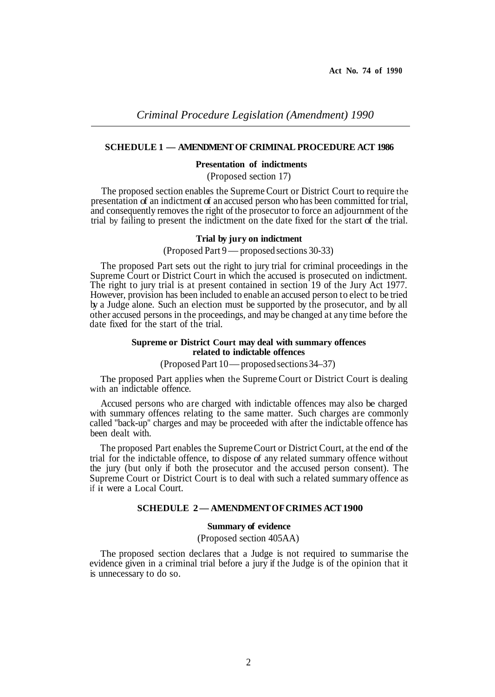## **SCHEDULE 1 — AMENDMENT OF CRIMINAL PROCEDURE ACT 1986**

#### **Presentation of indictments**

(Proposed section 17)

The proposed section enables the Supreme Court or District Court to require the presentation of an indictment of an accused person who has been committed for trial, and consequently removes the right of the prosecutor to force an adjournment of the trial by failing to present the indictment on the date fixed for the start of the trial.

## **Trial by jury on indictment**

## (Proposed Part 9 — proposed sections 30-33)

The proposed Part sets out the right to jury trial for criminal proceedings in the Supreme Court or District Court in which the accused is prosecuted on indictment. The right to jury trial is at present contained in section 19 of the Jury Act 1977. However, provision has been included to enable an accused person to elect to be tried by a Judge alone. Such an election must be supported by the prosecutor, and by all other accused persons in the proceedings, and may be changed at any time before the date fixed for the start of the trial.

## **Supreme or District Court may deal with summary offences related to indictable offences**

(Proposed Part 10 — proposed sections 34–37)

The proposed Part applies when the Supreme Court or District Court is dealing with an indictable offence.

Accused persons who are charged with indictable offences may also be charged with summary offences relating to the same matter. Such charges are commonly called "back-up" charges and may be proceeded with after the indictable offence has been dealt with.

The proposed Part enables the Supreme Court or District Court, at the end of the trial for the indictable offence, to dispose of any related summary offence without the jury (but only if both the prosecutor and the accused person consent). The Supreme Court or District Court is to deal with such a related summary offence as if **it** were a Local Court.

## **SCHEDULE 2 — AMENDMENT OF CRIMES ACT 1900**

## **Summary of evidence**

## (Proposed section 405AA)

The proposed section declares that a Judge is not required to summarise the evidence given in a criminal trial before a jury if the Judge is of the opinion that it is unnecessary to do so.